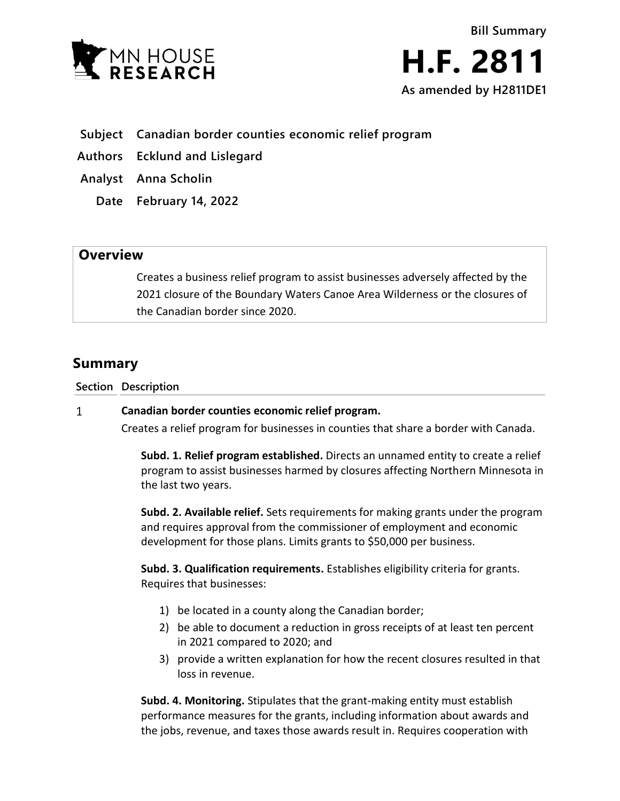



- **Subject Canadian border counties economic relief program**
- **Authors Ecklund and Lislegard**
- **Analyst Anna Scholin**
	- **Date February 14, 2022**

## **Overview**

Creates a business relief program to assist businesses adversely affected by the 2021 closure of the Boundary Waters Canoe Area Wilderness or the closures of the Canadian border since 2020.

# **Summary**

**Section Description**

#### $\mathbf{1}$ **Canadian border counties economic relief program.**

Creates a relief program for businesses in counties that share a border with Canada.

**Subd. 1. Relief program established.** Directs an unnamed entity to create a relief program to assist businesses harmed by closures affecting Northern Minnesota in the last two years.

**Subd. 2. Available relief.** Sets requirements for making grants under the program and requires approval from the commissioner of employment and economic development for those plans. Limits grants to \$50,000 per business.

**Subd. 3. Qualification requirements.** Establishes eligibility criteria for grants. Requires that businesses:

- 1) be located in a county along the Canadian border;
- 2) be able to document a reduction in gross receipts of at least ten percent in 2021 compared to 2020; and
- 3) provide a written explanation for how the recent closures resulted in that loss in revenue.

**Subd. 4. Monitoring.** Stipulates that the grant-making entity must establish performance measures for the grants, including information about awards and the jobs, revenue, and taxes those awards result in. Requires cooperation with